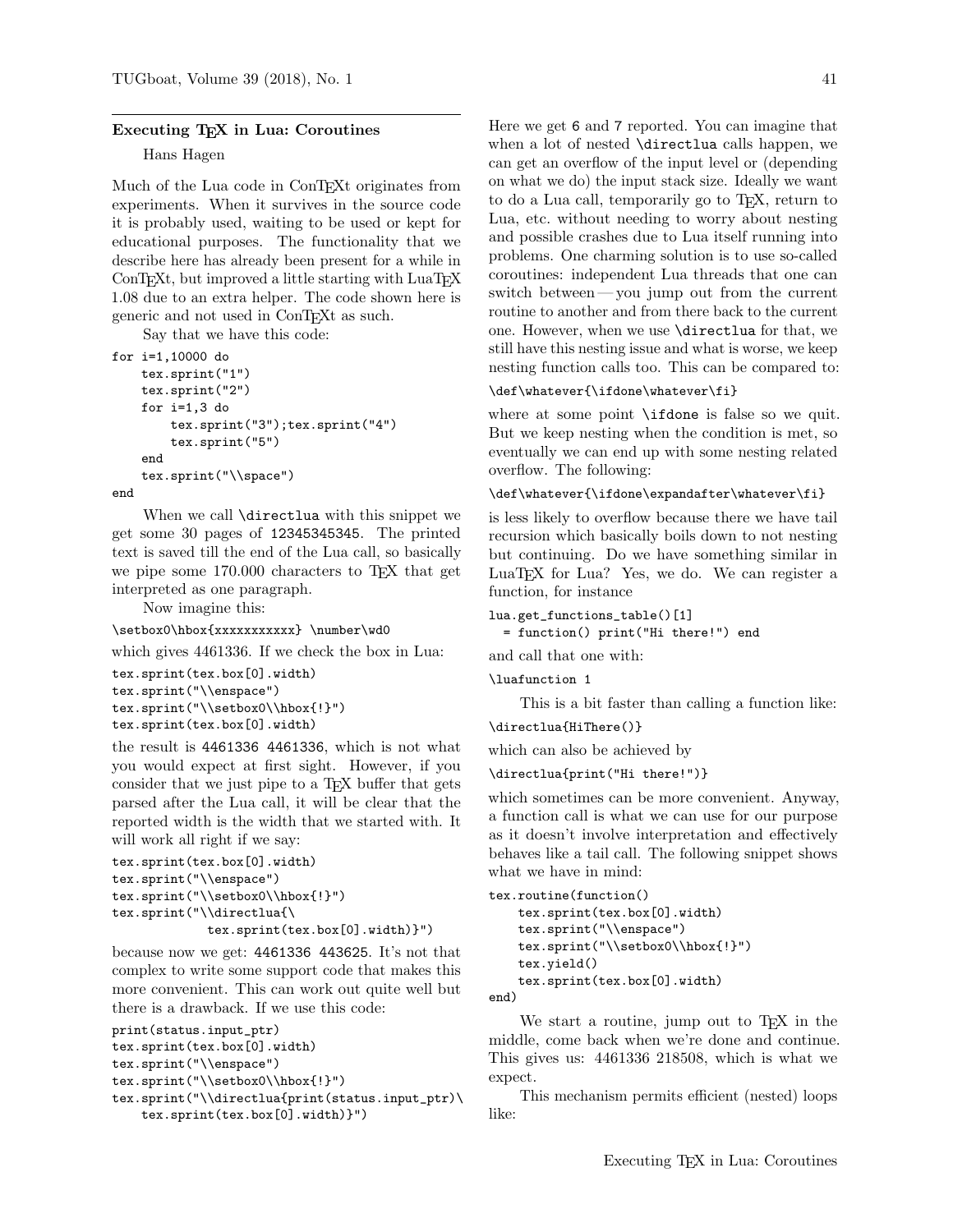## Executing T<sub>F</sub>X in Lua: Coroutines

## Hans Hagen

Much of the Lua code in ConTEXt originates from experiments. When it survives in the source code it is probably used, waiting to be used or kept for educational purposes. The functionality that we describe here has already been present for a while in ConT<sub>EXt</sub>, but improved a little starting with LuaT<sub>EX</sub> 1.08 due to an extra helper. The code shown here is generic and not used in ConTEXt as such.

Say that we have this code:

```
for i=1,10000 do
    tex.sprint("1")
    tex.sprint("2")
    for i=1,3 do
        tex.sprint("3");tex.sprint("4")
        tex.sprint("5")
    end
    tex.sprint("\\space")
end
```
When we call **\directlua** with this snippet we get some 30 pages of 12345345345. The printed text is saved till the end of the Lua call, so basically we pipe some 170.000 characters to TEX that get interpreted as one paragraph.

Now imagine this:

```
\setbox0\hbox{xxxxxxxxxxx} \number\wd0
```
which gives 4461336. If we check the box in Lua:

```
tex.sprint(tex.box[0].width)
tex.sprint("\\enspace")
tex.sprint("\\setbox0\\hbox{!}")
tex.sprint(tex.box[0].width)
```
the result is 4461336 4461336, which is not what you would expect at first sight. However, if you consider that we just pipe to a TEX buffer that gets parsed after the Lua call, it will be clear that the reported width is the width that we started with. It will work all right if we say:

```
tex.sprint(tex.box[0].width)
tex.sprint("\\enspace")
tex.sprint("\\setbox0\\hbox{!}")
tex.sprint("\\directlua{\
             tex.sprint(tex.box[0].width)}")
```
because now we get: 4461336 443625. It's not that complex to write some support code that makes this more convenient. This can work out quite well but there is a drawback. If we use this code:

```
print(status.input_ptr)
tex.sprint(tex.box[0].width)
```

```
tex.sprint("\\enspace")
```

```
tex.sprint("\\setbox0\\hbox{!}")
```

```
tex.sprint("\\directlua{print(status.input_ptr)\
    tex.sprint(tex.box[0].width)}")
```
Here we get 6 and 7 reported. You can imagine that when a lot of nested \directlua calls happen, we can get an overflow of the input level or (depending on what we do) the input stack size. Ideally we want to do a Lua call, temporarily go to TEX, return to Lua, etc. without needing to worry about nesting and possible crashes due to Lua itself running into problems. One charming solution is to use so-called coroutines: independent Lua threads that one can switch between— you jump out from the current routine to another and from there back to the current one. However, when we use \directlua for that, we still have this nesting issue and what is worse, we keep nesting function calls too. This can be compared to:

## \def\whatever{\ifdone\whatever\fi}

where at some point \ifdone is false so we quit. But we keep nesting when the condition is met, so eventually we can end up with some nesting related overflow. The following:

## \def\whatever{\ifdone\expandafter\whatever\fi}

is less likely to overflow because there we have tail recursion which basically boils down to not nesting but continuing. Do we have something similar in LuaTEX for Lua? Yes, we do. We can register a function, for instance

```
lua.get_functions_table()[1]
```

```
= function() print("Hi there!") end
```
and call that one with:

\luafunction 1

This is a bit faster than calling a function like:

\directlua{HiThere()}

which can also be achieved by

```
\directlua{print("Hi there!")}
```
which sometimes can be more convenient. Anyway, a function call is what we can use for our purpose as it doesn't involve interpretation and effectively behaves like a tail call. The following snippet shows what we have in mind:

```
tex.routine(function()
   tex.sprint(tex.box[0].width)
   tex.sprint("\\enspace")
   tex.sprint("\\setbox0\\hbox{!}")
   tex.yield()
   tex.sprint(tex.box[0].width)
```
end)

We start a routine, jump out to T<sub>E</sub>X in the middle, come back when we're done and continue. This gives us: 4461336 218508, which is what we expect.

This mechanism permits efficient (nested) loops like: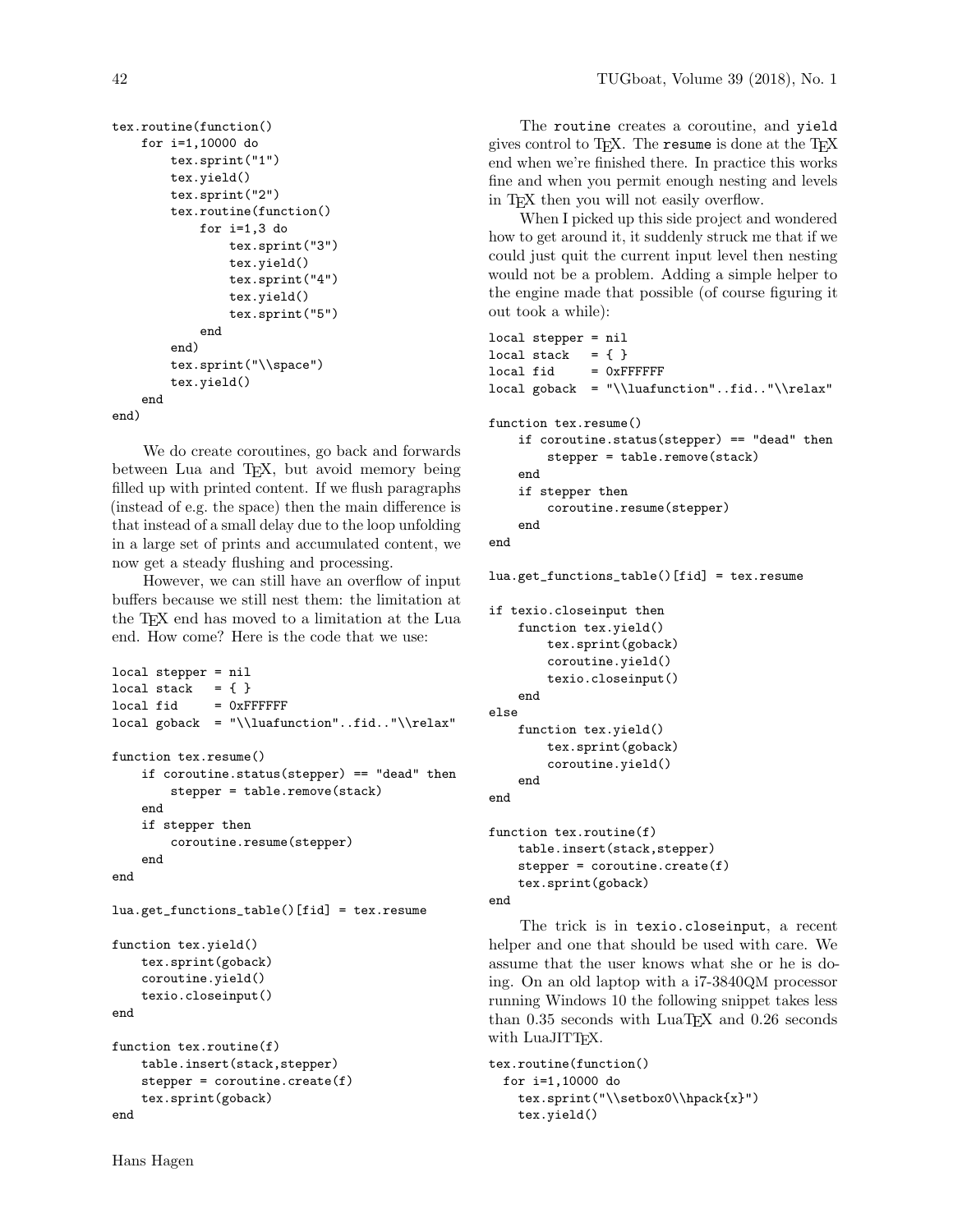```
tex.routine(function()
    for i=1,10000 do
        tex.sprint("1")
        tex.yield()
        tex.sprint("2")
        tex.routine(function()
            for i=1,3 do
                tex.sprint("3")
                 tex.yield()
                 tex.sprint("4")
                 tex.yield()
                 tex.sprint("5")
            end
        end)
        tex.sprint("\\space")
        tex.yield()
    end
end)
```
We do create coroutines, go back and forwards between Lua and T<sub>E</sub>X, but avoid memory being filled up with printed content. If we flush paragraphs (instead of e.g. the space) then the main difference is that instead of a small delay due to the loop unfolding in a large set of prints and accumulated content, we now get a steady flushing and processing.

However, we can still have an overflow of input buffers because we still nest them: the limitation at the TEX end has moved to a limitation at the Lua end. How come? Here is the code that we use:

```
local stepper = nil
local stack = \{\}local fid = 0xFFFFFlocal goback = "\\luafunction"..fid.."\\relax"
function tex.resume()
    if coroutine.status(stepper) == "dead" then
        stepper = table.remove(stack)
    end
    if stepper then
        coroutine.resume(stepper)
    end
end
lua.get_functions_table()[fid] = tex.resume
function tex.yield()
    tex.sprint(goback)
    coroutine.yield()
    texio.closeinput()
end
function tex.routine(f)
```

```
table.insert(stack,stepper)
    stepper = coroutine.create(f)
    tex.sprint(goback)
end
```
The routine creates a coroutine, and yield gives control to TEX. The resume is done at the TEX end when we're finished there. In practice this works fine and when you permit enough nesting and levels in T<sub>EX</sub> then you will not easily overflow.

When I picked up this side project and wondered how to get around it, it suddenly struck me that if we could just quit the current input level then nesting would not be a problem. Adding a simple helper to the engine made that possible (of course figuring it out took a while):

```
local stepper = nil
local stack = \{\}local fid = 0xFFFFFlocal goback = "\\luafunction"..fid.."\\relax"
function tex.resume()
    if coroutine.status(stepper) == "dead" then
        stepper = table.remove(stack)
    end
    if stepper then
       coroutine.resume(stepper)
    end
end
```

```
lua.get_functions_table()[fid] = tex.resume
```

```
if texio.closeinput then
    function tex.yield()
        tex.sprint(goback)
        coroutine.yield()
        texio.closeinput()
    end
else
    function tex.yield()
        tex.sprint(goback)
        coroutine.yield()
    end
end
function tex.routine(f)
```

```
table.insert(stack,stepper)
    stepper = coroutine.create(f)
    tex.sprint(goback)
end
```
The trick is in texio.closeinput, a recent helper and one that should be used with care. We assume that the user knows what she or he is doing. On an old laptop with a i7-3840QM processor running Windows 10 the following snippet takes less than  $0.35$  seconds with LuaT<sub>EX</sub> and  $0.26$  seconds with LuaJITT<sub>F</sub>X.

```
tex.routine(function()
  for i=1,10000 do
    tex.sprint("\\setbox0\\hpack{x}")
    tex.yield()
```